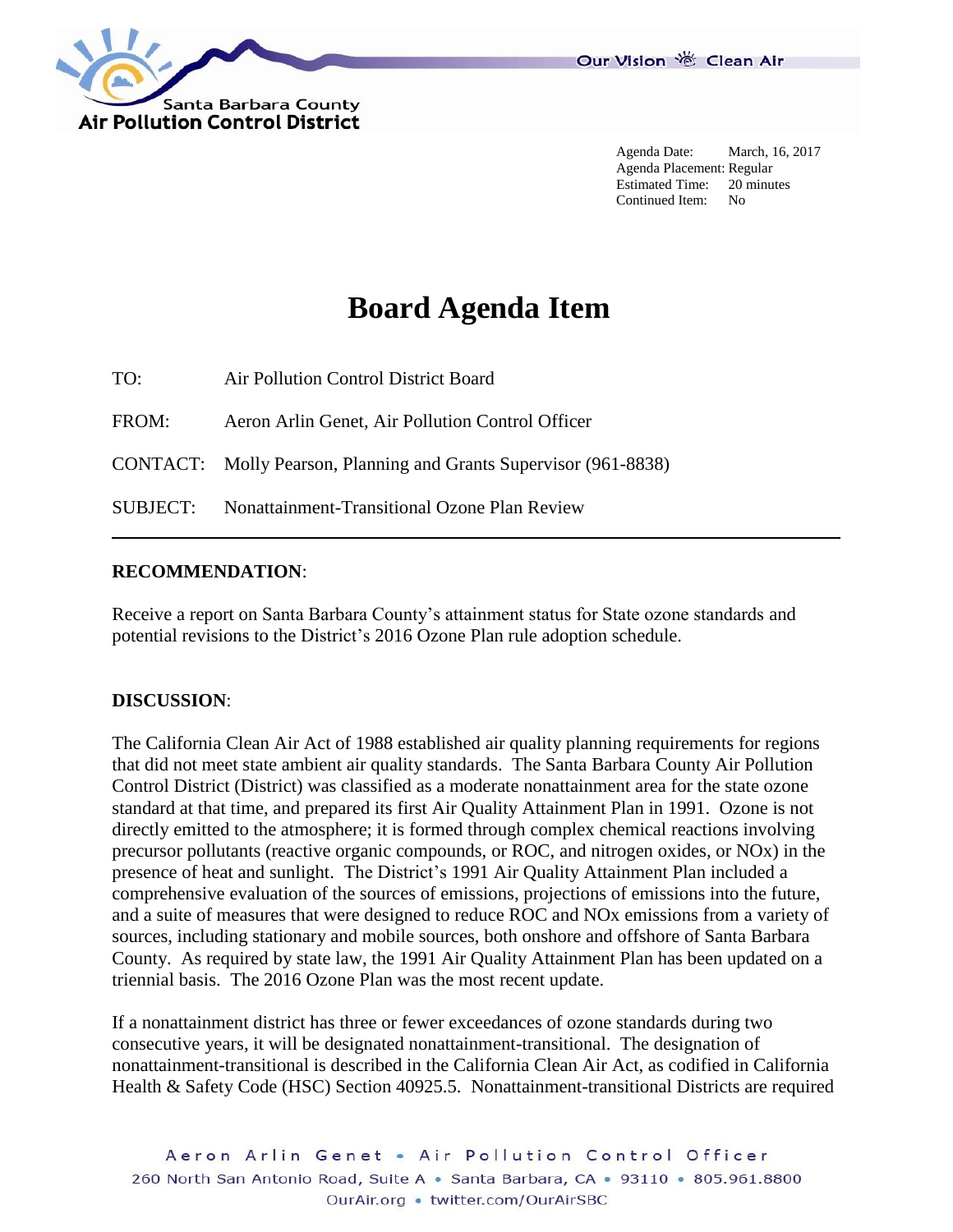

Agenda Date: March, 16, 2017 Agenda Placement: Regular Estimated Time: 20 minutes Continued Item: No

# **Board Agenda Item**

TO: Air Pollution Control District Board FROM: Aeron Arlin Genet, Air Pollution Control Officer CONTACT: Molly Pearson, Planning and Grants Supervisor (961-8838) SUBJECT: Nonattainment-Transitional Ozone Plan Review

#### **RECOMMENDATION**:

Receive a report on Santa Barbara County's attainment status for State ozone standards and potential revisions to the District's 2016 Ozone Plan rule adoption schedule.

#### **DISCUSSION**:

The California Clean Air Act of 1988 established air quality planning requirements for regions that did not meet state ambient air quality standards. The Santa Barbara County Air Pollution Control District (District) was classified as a moderate nonattainment area for the state ozone standard at that time, and prepared its first Air Quality Attainment Plan in 1991. Ozone is not directly emitted to the atmosphere; it is formed through complex chemical reactions involving precursor pollutants (reactive organic compounds, or ROC, and nitrogen oxides, or NOx) in the presence of heat and sunlight. The District's 1991 Air Quality Attainment Plan included a comprehensive evaluation of the sources of emissions, projections of emissions into the future, and a suite of measures that were designed to reduce ROC and NOx emissions from a variety of sources, including stationary and mobile sources, both onshore and offshore of Santa Barbara County. As required by state law, the 1991 Air Quality Attainment Plan has been updated on a triennial basis. The 2016 Ozone Plan was the most recent update.

If a nonattainment district has three or fewer exceedances of ozone standards during two consecutive years, it will be designated nonattainment-transitional. The designation of nonattainment-transitional is described in the California Clean Air Act, as codified in California Health & Safety Code (HSC) Section 40925.5. Nonattainment-transitional Districts are required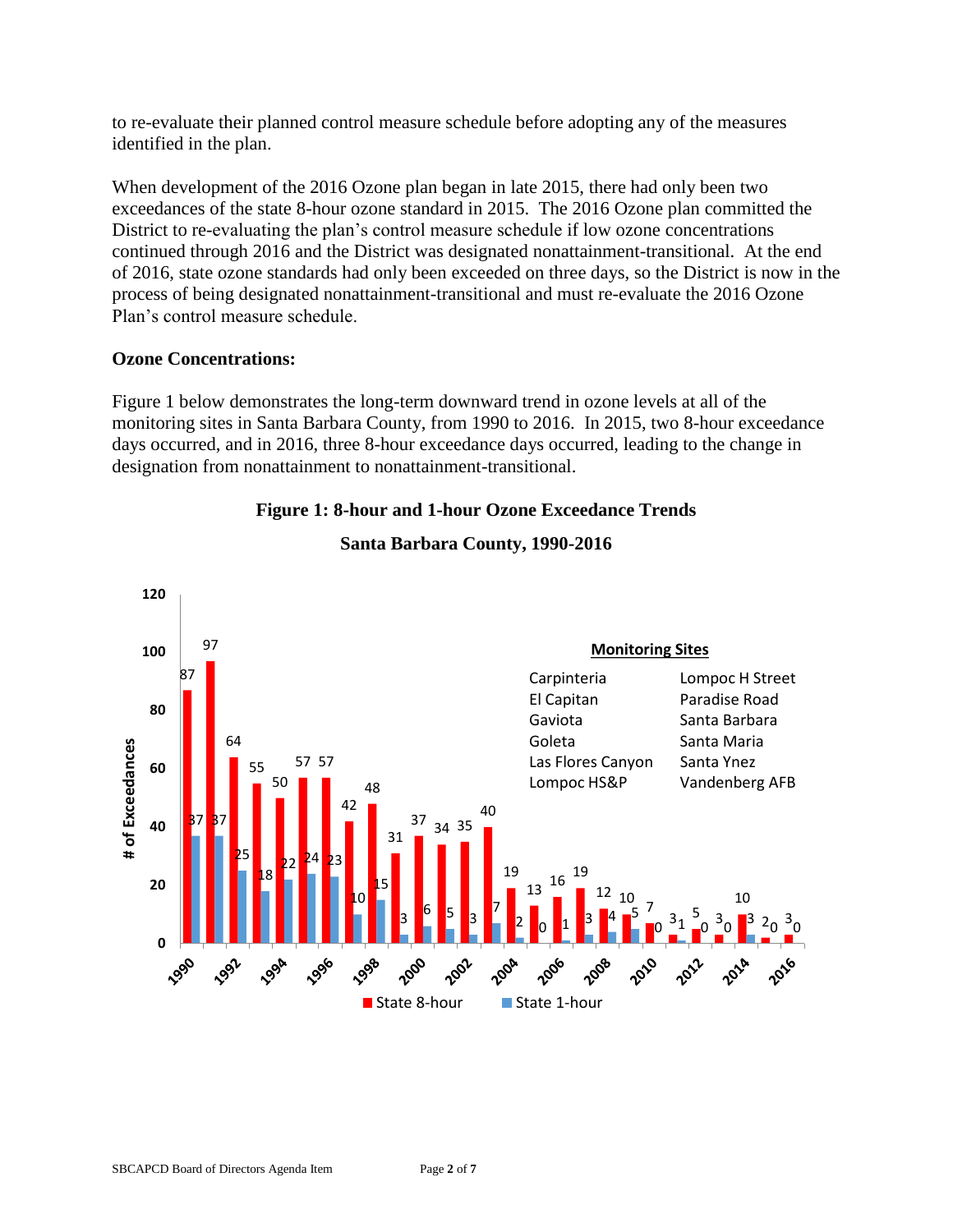to re-evaluate their planned control measure schedule before adopting any of the measures identified in the plan.

When development of the 2016 Ozone plan began in late 2015, there had only been two exceedances of the state 8-hour ozone standard in 2015. The 2016 Ozone plan committed the District to re-evaluating the plan's control measure schedule if low ozone concentrations continued through 2016 and the District was designated nonattainment-transitional. At the end of 2016, state ozone standards had only been exceeded on three days, so the District is now in the process of being designated nonattainment-transitional and must re-evaluate the 2016 Ozone Plan's control measure schedule.

## **Ozone Concentrations:**

Figure 1 below demonstrates the long-term downward trend in ozone levels at all of the monitoring sites in Santa Barbara County, from 1990 to 2016. In 2015, two 8-hour exceedance days occurred, and in 2016, three 8-hour exceedance days occurred, leading to the change in designation from nonattainment to nonattainment-transitional.

## **Figure 1: 8-hour and 1-hour Ozone Exceedance Trends**



## **Santa Barbara County, 1990-2016**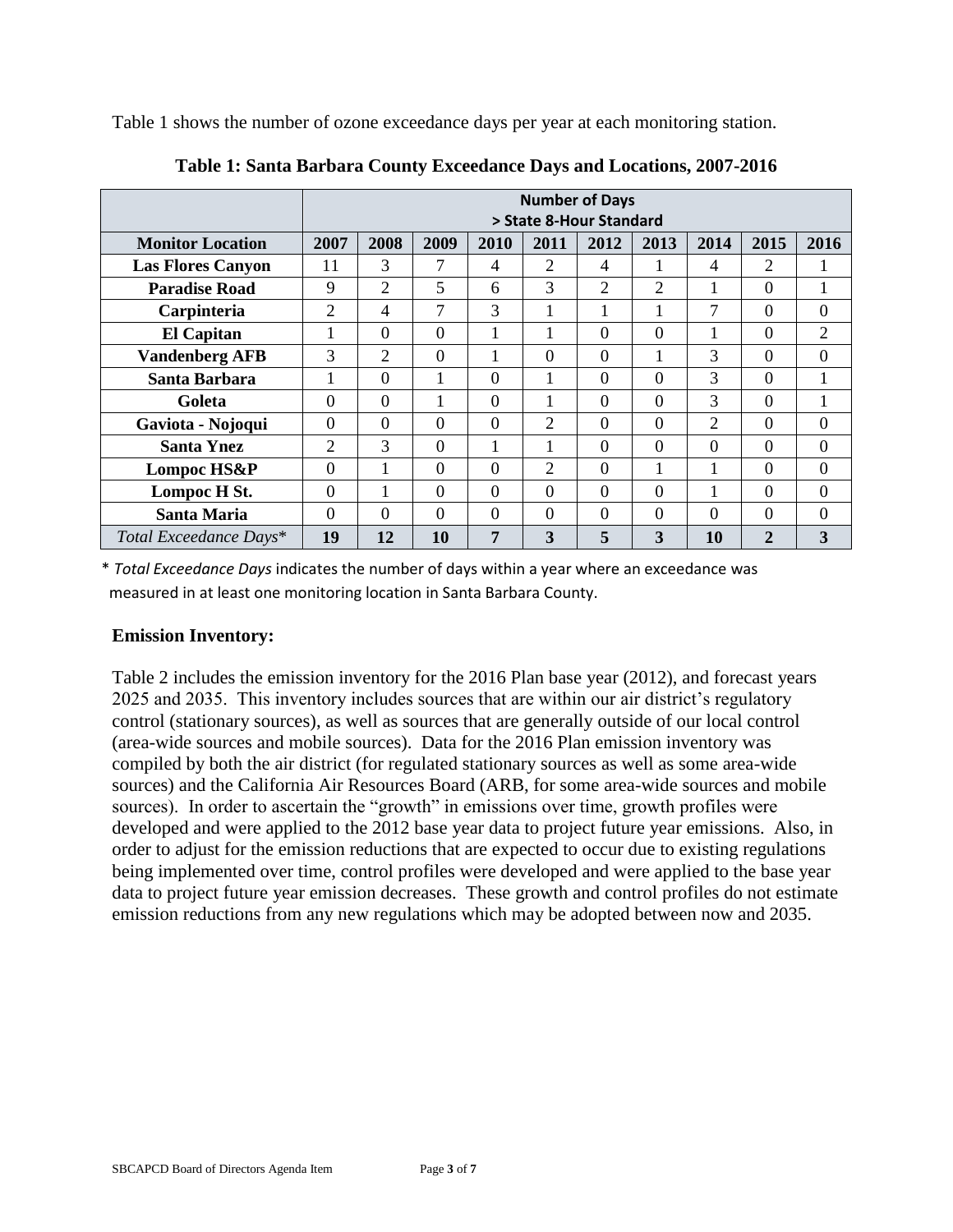Table 1 shows the number of ozone exceedance days per year at each monitoring station.

|                          | <b>Number of Days</b><br>> State 8-Hour Standard |          |          |          |                |                |                |                |                |                |
|--------------------------|--------------------------------------------------|----------|----------|----------|----------------|----------------|----------------|----------------|----------------|----------------|
| <b>Monitor Location</b>  | 2007                                             | 2008     | 2009     | 2010     | 2011           | 2012           | 2013           | 2014           | 2015           | 2016           |
| <b>Las Flores Canyon</b> | 11                                               | 3        | 7        | 4        | $\overline{2}$ | 4              |                | 4              | $\overline{2}$ |                |
| <b>Paradise Road</b>     | 9                                                | 2        | 5        | 6        | 3              | 2              | $\overline{c}$ |                | $\overline{0}$ |                |
| Carpinteria              | $\overline{2}$                                   | 4        | 7        | 3        |                |                |                | 7              | $\overline{0}$ | $\overline{0}$ |
| <b>El Capitan</b>        |                                                  | $\theta$ | $\Omega$ | 1        |                | $\Omega$       | $\Omega$       | 1              | $\Omega$       | 2              |
| <b>Vandenberg AFB</b>    | 3                                                | 2        | $\Omega$ | 1        | $\theta$       | $\overline{0}$ | 1              | 3              | $\theta$       | $\overline{0}$ |
| Santa Barbara            |                                                  | $\Omega$ |          | $\Omega$ |                | $\theta$       | $\Omega$       | 3              | $\Omega$       |                |
| Goleta                   | $\Omega$                                         | $\Omega$ |          | $\Omega$ |                | $\Omega$       | $\Omega$       | 3              | $\Omega$       |                |
| Gaviota - Nojoqui        | $\theta$                                         | $\Omega$ | $\Omega$ | $\Omega$ | $\overline{2}$ | $\Omega$       | $\Omega$       | $\overline{2}$ | $\Omega$       | $\overline{0}$ |
| <b>Santa Ynez</b>        | $\overline{2}$                                   | 3        | $\Omega$ | 1        |                | $\theta$       | $\Omega$       | $\overline{0}$ | $\Omega$       | $\overline{0}$ |
| Lompoc HS&P              | $\Omega$                                         |          | $\Omega$ | $\Omega$ | 2              | $\Omega$       | 1              | 1              | $\Omega$       | $\Omega$       |
| Lompoc H St.             | $\Omega$                                         |          | $\Omega$ | $\Omega$ | $\overline{0}$ | $\Omega$       | $\Omega$       |                | $\Omega$       | $\overline{0}$ |
| <b>Santa Maria</b>       | $\overline{0}$                                   | $\theta$ | $\Omega$ | $\Omega$ | $\Omega$       | $\theta$       | $\theta$       | 0              | $\Omega$       | $\overline{0}$ |
| Total Exceedance Days*   | 19                                               | 12       | 10       | 7        | 3              | 5              | 3              | 10             | $\overline{2}$ | 3              |

**Table 1: Santa Barbara County Exceedance Days and Locations, 2007-2016**

\* *Total Exceedance Days* indicates the number of days within a year where an exceedance was measured in at least one monitoring location in Santa Barbara County.

#### **Emission Inventory:**

Table 2 includes the emission inventory for the 2016 Plan base year (2012), and forecast years 2025 and 2035. This inventory includes sources that are within our air district's regulatory control (stationary sources), as well as sources that are generally outside of our local control (area-wide sources and mobile sources). Data for the 2016 Plan emission inventory was compiled by both the air district (for regulated stationary sources as well as some area-wide sources) and the California Air Resources Board (ARB, for some area-wide sources and mobile sources). In order to ascertain the "growth" in emissions over time, growth profiles were developed and were applied to the 2012 base year data to project future year emissions. Also, in order to adjust for the emission reductions that are expected to occur due to existing regulations being implemented over time, control profiles were developed and were applied to the base year data to project future year emission decreases. These growth and control profiles do not estimate emission reductions from any new regulations which may be adopted between now and 2035.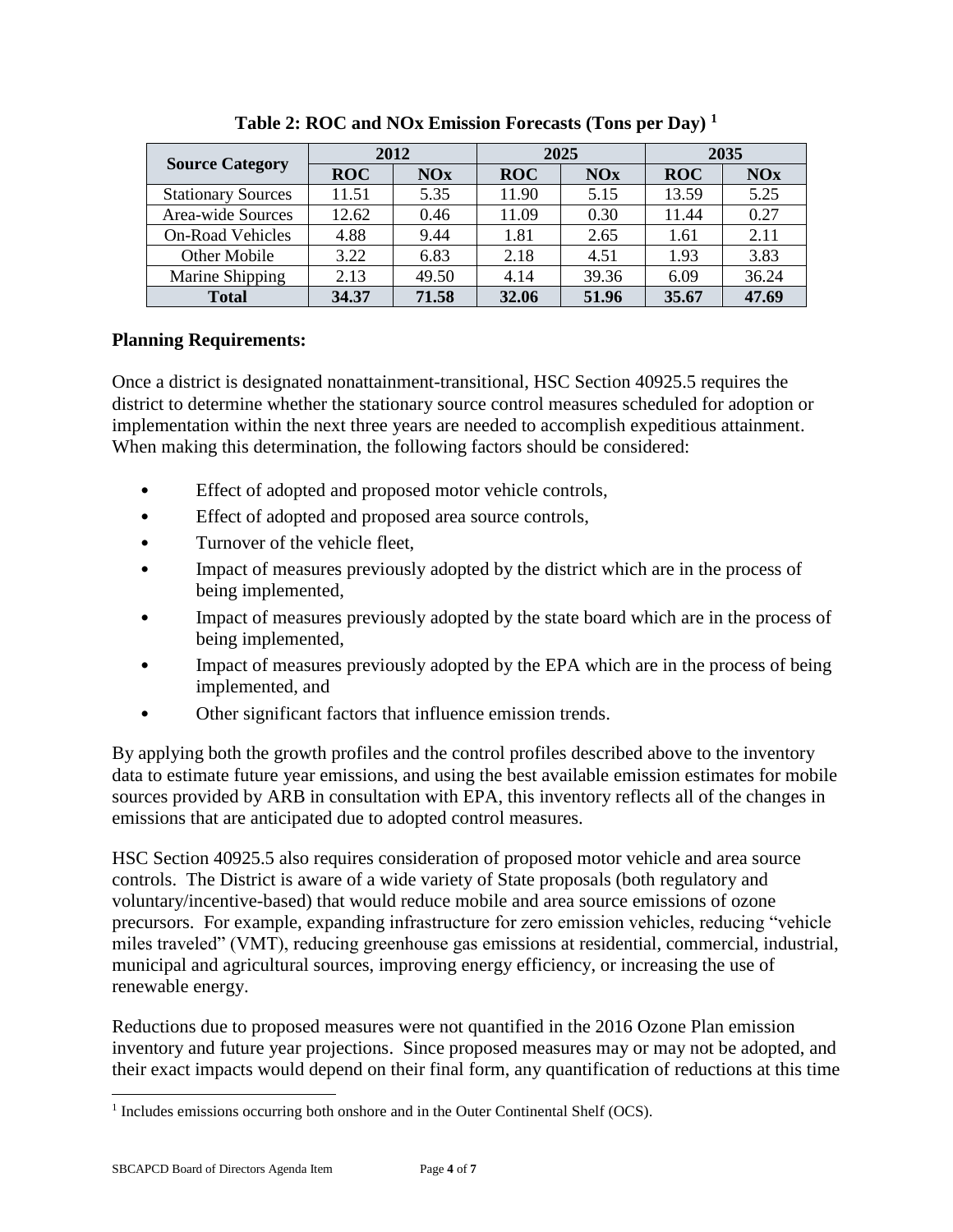|                           |            | 2012  |            | 2025       | 2035       |       |  |
|---------------------------|------------|-------|------------|------------|------------|-------|--|
| <b>Source Category</b>    | <b>ROC</b> | NOx   | <b>ROC</b> | <b>NOx</b> | <b>ROC</b> | NOx   |  |
| <b>Stationary Sources</b> | 11.51      | 5.35  | 11.90      | 5.15       | 13.59      | 5.25  |  |
| Area-wide Sources         | 12.62      | 0.46  | 11.09      | 0.30       | 11.44      | 0.27  |  |
| <b>On-Road Vehicles</b>   | 4.88       | 9.44  | 1.81       | 2.65       | 1.61       | 2.11  |  |
| Other Mobile              | 3.22       | 6.83  | 2.18       | 4.51       | 1.93       | 3.83  |  |
| Marine Shipping           | 2.13       | 49.50 | 4.14       | 39.36      | 6.09       | 36.24 |  |
| <b>Total</b>              | 34.37      | 71.58 | 32.06      | 51.96      | 35.67      | 47.69 |  |

**Table 2: ROC and NOx Emission Forecasts (Tons per Day) <sup>1</sup>**

## **Planning Requirements:**

Once a district is designated nonattainment-transitional, HSC Section 40925.5 requires the district to determine whether the stationary source control measures scheduled for adoption or implementation within the next three years are needed to accomplish expeditious attainment. When making this determination, the following factors should be considered:

- Effect of adopted and proposed motor vehicle controls,
- Effect of adopted and proposed area source controls,
- Turnover of the vehicle fleet,
- Impact of measures previously adopted by the district which are in the process of being implemented,
- Impact of measures previously adopted by the state board which are in the process of being implemented,
- Impact of measures previously adopted by the EPA which are in the process of being implemented, and
- Other significant factors that influence emission trends.

By applying both the growth profiles and the control profiles described above to the inventory data to estimate future year emissions, and using the best available emission estimates for mobile sources provided by ARB in consultation with EPA, this inventory reflects all of the changes in emissions that are anticipated due to adopted control measures.

HSC Section 40925.5 also requires consideration of proposed motor vehicle and area source controls. The District is aware of a wide variety of State proposals (both regulatory and voluntary/incentive-based) that would reduce mobile and area source emissions of ozone precursors. For example, expanding infrastructure for zero emission vehicles, reducing "vehicle miles traveled" (VMT), reducing greenhouse gas emissions at residential, commercial, industrial, municipal and agricultural sources, improving energy efficiency, or increasing the use of renewable energy.

Reductions due to proposed measures were not quantified in the 2016 Ozone Plan emission inventory and future year projections. Since proposed measures may or may not be adopted, and their exact impacts would depend on their final form, any quantification of reductions at this time

l

<sup>&</sup>lt;sup>1</sup> Includes emissions occurring both onshore and in the Outer Continental Shelf (OCS).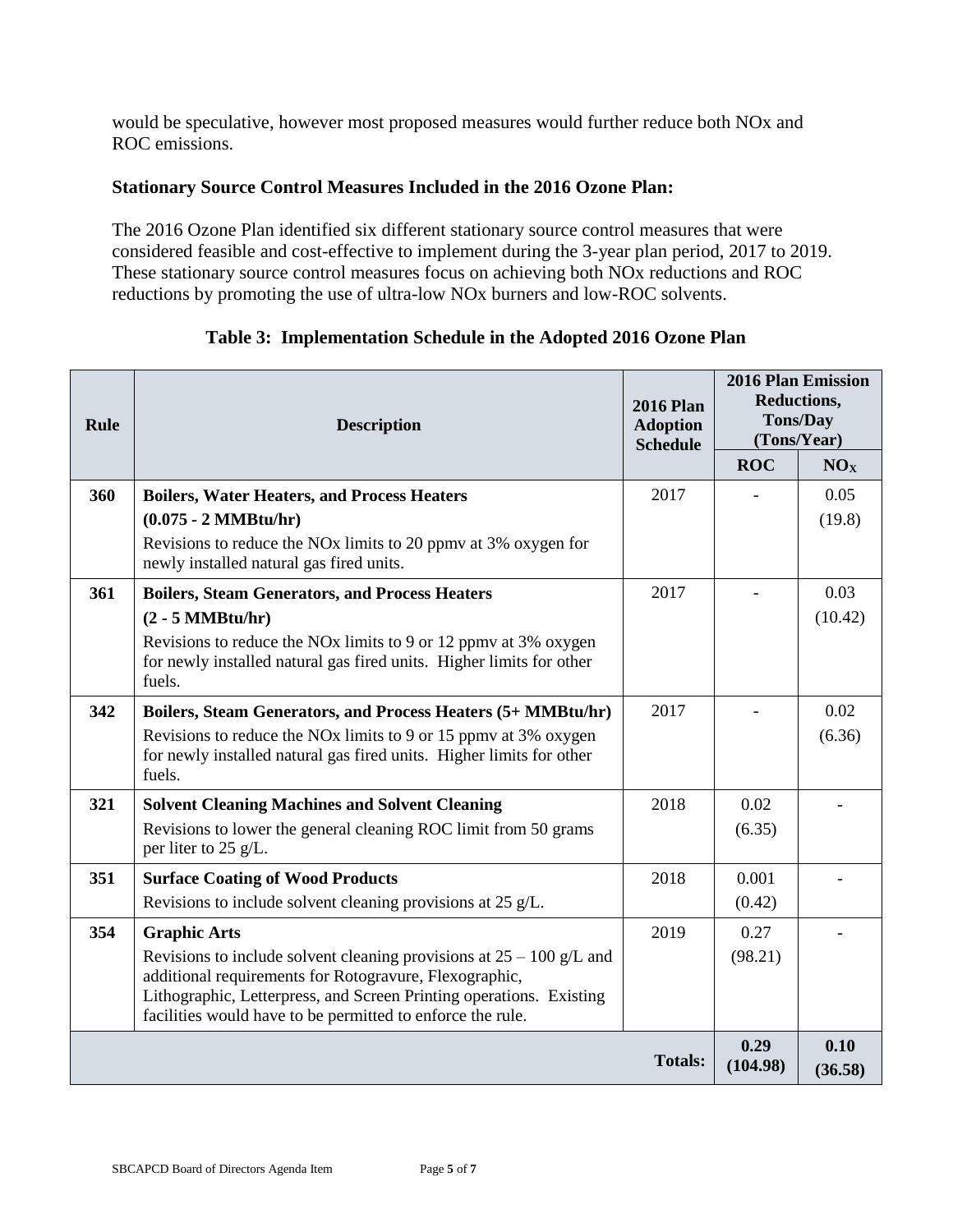would be speculative, however most proposed measures would further reduce both NOx and ROC emissions.

## **Stationary Source Control Measures Included in the 2016 Ozone Plan:**

The 2016 Ozone Plan identified six different stationary source control measures that were considered feasible and cost-effective to implement during the 3-year plan period, 2017 to 2019. These stationary source control measures focus on achieving both NOx reductions and ROC reductions by promoting the use of ultra-low NOx burners and low-ROC solvents.

| <b>Rule</b> | <b>Description</b>                                                                                                                                                                                                                                                                           | <b>2016 Plan</b><br><b>Adoption</b><br><b>Schedule</b> | <b>2016 Plan Emission</b><br>Reductions,<br><b>Tons/Day</b><br>(Tons/Year) |                 |
|-------------|----------------------------------------------------------------------------------------------------------------------------------------------------------------------------------------------------------------------------------------------------------------------------------------------|--------------------------------------------------------|----------------------------------------------------------------------------|-----------------|
|             |                                                                                                                                                                                                                                                                                              |                                                        | <b>ROC</b>                                                                 | NO <sub>X</sub> |
| 360         | <b>Boilers, Water Heaters, and Process Heaters</b><br>$(0.075 - 2 \text{ MMBtu/hr})$<br>Revisions to reduce the NO <sub>x</sub> limits to 20 ppm at 3% oxygen for<br>newly installed natural gas fired units.                                                                                | 2017                                                   |                                                                            | 0.05<br>(19.8)  |
| 361         | <b>Boilers, Steam Generators, and Process Heaters</b><br>$(2 - 5 MMBtu/hr)$<br>Revisions to reduce the NO <sub>x</sub> limits to 9 or 12 ppm at 3% oxygen<br>for newly installed natural gas fired units. Higher limits for other<br>fuels.                                                  | 2017                                                   |                                                                            | 0.03<br>(10.42) |
| 342         | Boilers, Steam Generators, and Process Heaters (5+ MMBtu/hr)<br>Revisions to reduce the NO <sub>x</sub> limits to 9 or 15 ppm at 3% oxygen<br>for newly installed natural gas fired units. Higher limits for other<br>fuels.                                                                 | 2017                                                   |                                                                            | 0.02<br>(6.36)  |
| 321         | <b>Solvent Cleaning Machines and Solvent Cleaning</b><br>Revisions to lower the general cleaning ROC limit from 50 grams<br>per liter to 25 g/L.                                                                                                                                             | 2018                                                   | 0.02<br>(6.35)                                                             |                 |
| 351         | <b>Surface Coating of Wood Products</b><br>Revisions to include solvent cleaning provisions at 25 g/L.                                                                                                                                                                                       | 2018                                                   | 0.001<br>(0.42)                                                            |                 |
| 354         | <b>Graphic Arts</b><br>Revisions to include solvent cleaning provisions at $25 - 100$ g/L and<br>additional requirements for Rotogravure, Flexographic,<br>Lithographic, Letterpress, and Screen Printing operations. Existing<br>facilities would have to be permitted to enforce the rule. | 2019                                                   | 0.27<br>(98.21)                                                            |                 |
|             |                                                                                                                                                                                                                                                                                              | <b>Totals:</b>                                         | 0.29<br>(104.98)                                                           | 0.10<br>(36.58) |

# **Table 3: Implementation Schedule in the Adopted 2016 Ozone Plan**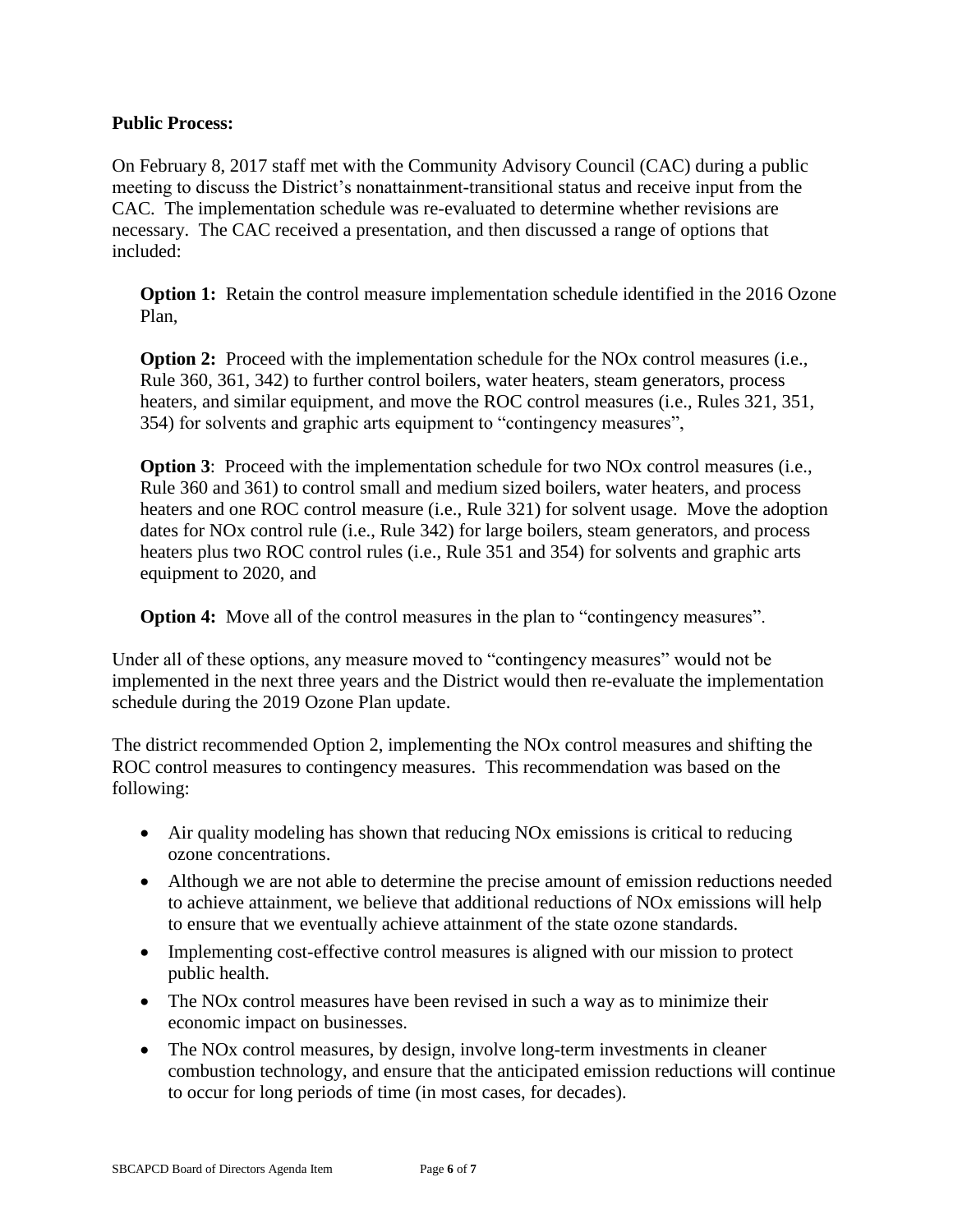#### **Public Process:**

On February 8, 2017 staff met with the Community Advisory Council (CAC) during a public meeting to discuss the District's nonattainment-transitional status and receive input from the CAC. The implementation schedule was re-evaluated to determine whether revisions are necessary. The CAC received a presentation, and then discussed a range of options that included:

**Option 1:** Retain the control measure implementation schedule identified in the 2016 Ozone Plan,

**Option 2:** Proceed with the implementation schedule for the NO<sub>x</sub> control measures (i.e., Rule 360, 361, 342) to further control boilers, water heaters, steam generators, process heaters, and similar equipment, and move the ROC control measures (i.e., Rules 321, 351, 354) for solvents and graphic arts equipment to "contingency measures",

**Option 3:** Proceed with the implementation schedule for two NO<sub>x</sub> control measures (i.e., Rule 360 and 361) to control small and medium sized boilers, water heaters, and process heaters and one ROC control measure (i.e., Rule 321) for solvent usage. Move the adoption dates for NOx control rule (i.e., Rule 342) for large boilers, steam generators, and process heaters plus two ROC control rules (i.e., Rule 351 and 354) for solvents and graphic arts equipment to 2020, and

**Option 4:** Move all of the control measures in the plan to "contingency measures".

Under all of these options, any measure moved to "contingency measures" would not be implemented in the next three years and the District would then re-evaluate the implementation schedule during the 2019 Ozone Plan update.

The district recommended Option 2, implementing the NOx control measures and shifting the ROC control measures to contingency measures. This recommendation was based on the following:

- Air quality modeling has shown that reducing NOx emissions is critical to reducing ozone concentrations.
- Although we are not able to determine the precise amount of emission reductions needed to achieve attainment, we believe that additional reductions of NOx emissions will help to ensure that we eventually achieve attainment of the state ozone standards.
- Implementing cost-effective control measures is aligned with our mission to protect public health.
- The NO<sub>x</sub> control measures have been revised in such a way as to minimize their economic impact on businesses.
- The NOx control measures, by design, involve long-term investments in cleaner combustion technology, and ensure that the anticipated emission reductions will continue to occur for long periods of time (in most cases, for decades).